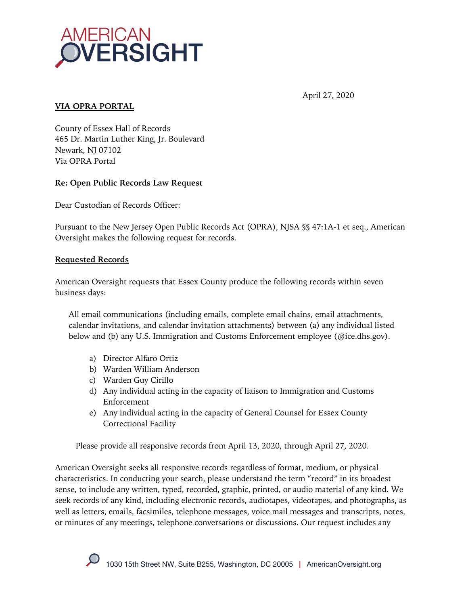

## April 27, 2020

### **VIA OPRA PORTAL**

County of Essex Hall of Records 465 Dr. Martin Luther King, Jr. Boulevard Newark, NJ 07102 Via OPRA Portal

# **Re: Open Public Records Law Request**

Dear Custodian of Records Officer:

Pursuant to the New Jersey Open Public Records Act (OPRA), NJSA §§ 47:1A-1 et seq., American Oversight makes the following request for records.

### **Requested Records**

American Oversight requests that Essex County produce the following records within seven business days:

All email communications (including emails, complete email chains, email attachments, calendar invitations, and calendar invitation attachments) between (a) any individual listed below and (b) any U.S. Immigration and Customs Enforcement employee (@ice.dhs.gov).

- a) Director Alfaro Ortiz
- b) Warden William Anderson
- c) Warden Guy Cirillo
- d) Any individual acting in the capacity of liaison to Immigration and Customs Enforcement
- e) Any individual acting in the capacity of General Counsel for Essex County Correctional Facility

Please provide all responsive records from April 13, 2020, through April 27, 2020.

American Oversight seeks all responsive records regardless of format, medium, or physical characteristics. In conducting your search, please understand the term "record" in its broadest sense, to include any written, typed, recorded, graphic, printed, or audio material of any kind. We seek records of any kind, including electronic records, audiotapes, videotapes, and photographs, as well as letters, emails, facsimiles, telephone messages, voice mail messages and transcripts, notes, or minutes of any meetings, telephone conversations or discussions. Our request includes any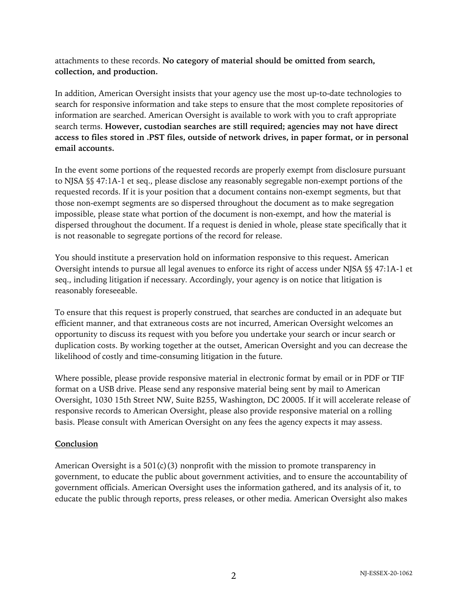attachments to these records. **No category of material should be omitted from search, collection, and production.**

In addition, American Oversight insists that your agency use the most up-to-date technologies to search for responsive information and take steps to ensure that the most complete repositories of information are searched. American Oversight is available to work with you to craft appropriate search terms. **However, custodian searches are still required; agencies may not have direct access to files stored in .PST files, outside of network drives, in paper format, or in personal email accounts.**

In the event some portions of the requested records are properly exempt from disclosure pursuant to NJSA §§ 47:1A-1 et seq., please disclose any reasonably segregable non-exempt portions of the requested records. If it is your position that a document contains non-exempt segments, but that those non-exempt segments are so dispersed throughout the document as to make segregation impossible, please state what portion of the document is non-exempt, and how the material is dispersed throughout the document. If a request is denied in whole, please state specifically that it is not reasonable to segregate portions of the record for release.

You should institute a preservation hold on information responsive to this request**.** American Oversight intends to pursue all legal avenues to enforce its right of access under NJSA §§ 47:1A-1 et seq., including litigation if necessary. Accordingly, your agency is on notice that litigation is reasonably foreseeable.

To ensure that this request is properly construed, that searches are conducted in an adequate but efficient manner, and that extraneous costs are not incurred, American Oversight welcomes an opportunity to discuss its request with you before you undertake your search or incur search or duplication costs. By working together at the outset, American Oversight and you can decrease the likelihood of costly and time-consuming litigation in the future.

Where possible, please provide responsive material in electronic format by email or in PDF or TIF format on a USB drive. Please send any responsive material being sent by mail to American Oversight, 1030 15th Street NW, Suite B255, Washington, DC 20005. If it will accelerate release of responsive records to American Oversight, please also provide responsive material on a rolling basis. Please consult with American Oversight on any fees the agency expects it may assess.

### **Conclusion**

American Oversight is a 501(c)(3) nonprofit with the mission to promote transparency in government, to educate the public about government activities, and to ensure the accountability of government officials. American Oversight uses the information gathered, and its analysis of it, to educate the public through reports, press releases, or other media. American Oversight also makes